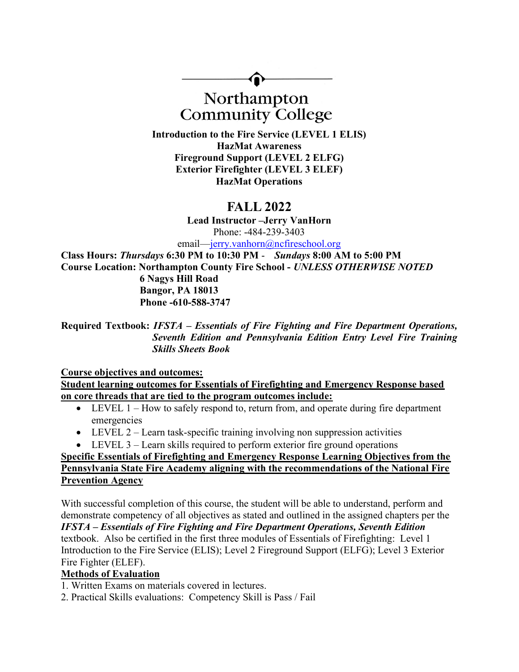

**Community College** 

Introduction to the Fire Service (LEVEL 1 ELIS) HazMat Awareness Fireground Support (LEVEL 2 ELFG) Exterior Firefighter (LEVEL 3 ELEF) HazMat Operations

# FALL 2022

Lead Instructor –Jerry VanHorn Phone: -484-239-3403

email—jerry.vanhorn@ncfireschool.org

Class Hours: Thursdays 6:30 PM to 10:30 PM - Sundays 8:00 AM to 5:00 PM Course Location: Northampton County Fire School - UNLESS OTHERWISE NOTED

 6 Nagys Hill Road Bangor, PA 18013 Phone -610-588-3747

Required Textbook: IFSTA – Essentials of Fire Fighting and Fire Department Operations, Seventh Edition and Pennsylvania Edition Entry Level Fire Training Skills Sheets Book

## Course objectives and outcomes:

Student learning outcomes for Essentials of Firefighting and Emergency Response based on core threads that are tied to the program outcomes include:

- LEVEL 1 How to safely respond to, return from, and operate during fire department emergencies
- $\bullet$  LEVEL 2 Learn task-specific training involving non suppression activities
- LEVEL 3 Learn skills required to perform exterior fire ground operations

# Specific Essentials of Firefighting and Emergency Response Learning Objectives from the Pennsylvania State Fire Academy aligning with the recommendations of the National Fire **Prevention Agency**

With successful completion of this course, the student will be able to understand, perform and demonstrate competency of all objectives as stated and outlined in the assigned chapters per the IFSTA – Essentials of Fire Fighting and Fire Department Operations, Seventh Edition textbook. Also be certified in the first three modules of Essentials of Firefighting: Level 1 Introduction to the Fire Service (ELIS); Level 2 Fireground Support (ELFG); Level 3 Exterior Fire Fighter (ELEF).

# Methods of Evaluation

1. Written Exams on materials covered in lectures.

2. Practical Skills evaluations: Competency Skill is Pass / Fail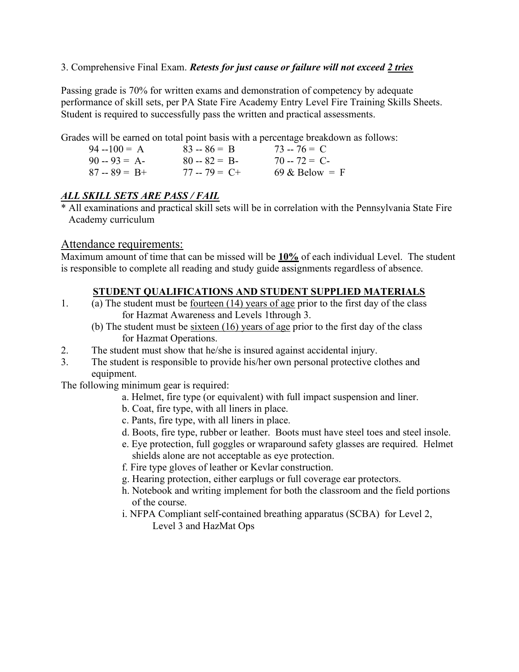#### 3. Comprehensive Final Exam. Retests for just cause or failure will not exceed 2 tries

Passing grade is 70% for written exams and demonstration of competency by adequate performance of skill sets, per PA State Fire Academy Entry Level Fire Training Skills Sheets. Student is required to successfully pass the written and practical assessments.

Grades will be earned on total point basis with a percentage breakdown as follows:

| $94 - 100 = A$  | $83 - 86 = B$   | $73 - 76 = C$            |
|-----------------|-----------------|--------------------------|
| $90 - 93 = A$   | $80 - 82 = B$   | $70 - 72 = C$            |
| $87 - 89 = B +$ | $77 - 79 = C +$ | $69 \& \text{Below} = F$ |

# ALL SKILL SETS ARE PASS / FAIL

\* All examinations and practical skill sets will be in correlation with the Pennsylvania State Fire Academy curriculum

## Attendance requirements:

Maximum amount of time that can be missed will be 10% of each individual Level. The student is responsible to complete all reading and study guide assignments regardless of absence.

## STUDENT QUALIFICATIONS AND STUDENT SUPPLIED MATERIALS

- 1. (a) The student must be <u>fourteen  $(14)$  years of age</u> prior to the first day of the class for Hazmat Awareness and Levels 1through 3.
	- (b) The student must be sixteen (16) years of age prior to the first day of the class for Hazmat Operations.
- 2. The student must show that he/she is insured against accidental injury.
- 3. The student is responsible to provide his/her own personal protective clothes and equipment.

The following minimum gear is required:

- a. Helmet, fire type (or equivalent) with full impact suspension and liner.
- b. Coat, fire type, with all liners in place.
- c. Pants, fire type, with all liners in place.
- d. Boots, fire type, rubber or leather. Boots must have steel toes and steel insole.
- e. Eye protection, full goggles or wraparound safety glasses are required. Helmet shields alone are not acceptable as eye protection.
- f. Fire type gloves of leather or Kevlar construction.
- g. Hearing protection, either earplugs or full coverage ear protectors.
- h. Notebook and writing implement for both the classroom and the field portions of the course.
- i. NFPA Compliant self-contained breathing apparatus (SCBA) for Level 2, Level 3 and HazMat Ops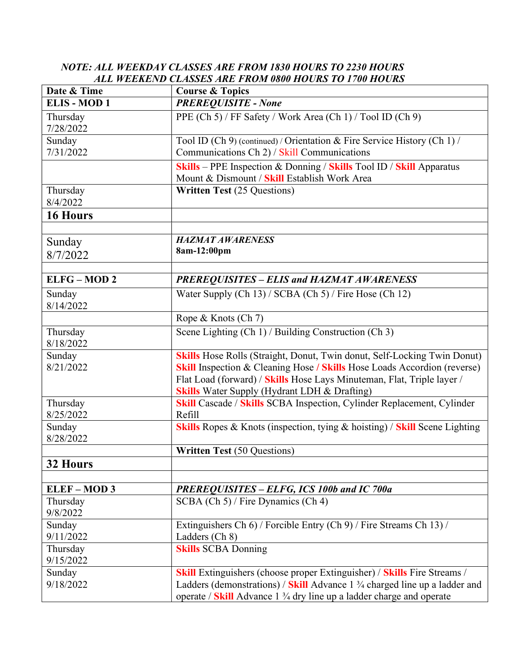# NOTE: ALL WEEKDAY CLASSES ARE FROM 1830 HOURS TO 2230 HOURS ALL WEEKEND CLASSES ARE FROM 0800 HOURS TO 1700 HOURS

| Date & Time           | <b>Course &amp; Topics</b>                                                                                                                                                                                                                                                                       |
|-----------------------|--------------------------------------------------------------------------------------------------------------------------------------------------------------------------------------------------------------------------------------------------------------------------------------------------|
| <b>ELIS-MOD1</b>      | <b>PREREQUISITE - None</b>                                                                                                                                                                                                                                                                       |
| Thursday<br>7/28/2022 | PPE (Ch 5) / FF Safety / Work Area (Ch 1) / Tool ID (Ch 9)                                                                                                                                                                                                                                       |
| Sunday<br>7/31/2022   | Tool ID (Ch 9) (continued) / Orientation & Fire Service History (Ch 1) /<br>Communications Ch 2) / Skill Communications                                                                                                                                                                          |
|                       | Skills - PPE Inspection & Donning / Skills Tool ID / Skill Apparatus<br>Mount & Dismount / Skill Establish Work Area                                                                                                                                                                             |
| Thursday<br>8/4/2022  | <b>Written Test (25 Questions)</b>                                                                                                                                                                                                                                                               |
| 16 Hours              |                                                                                                                                                                                                                                                                                                  |
| Sunday<br>8/7/2022    | <b>HAZMAT AWARENESS</b><br>8am-12:00pm                                                                                                                                                                                                                                                           |
| <b>ELFG-MOD2</b>      | <b>PREREQUISITES - ELIS and HAZMAT AWARENESS</b>                                                                                                                                                                                                                                                 |
| Sunday<br>8/14/2022   | Water Supply (Ch 13) / SCBA (Ch 5) / Fire Hose (Ch 12)                                                                                                                                                                                                                                           |
|                       | Rope & Knots (Ch 7)                                                                                                                                                                                                                                                                              |
| Thursday<br>8/18/2022 | Scene Lighting (Ch 1) / Building Construction (Ch 3)                                                                                                                                                                                                                                             |
| Sunday<br>8/21/2022   | Skills Hose Rolls (Straight, Donut, Twin donut, Self-Locking Twin Donut)<br><b>Skill Inspection &amp; Cleaning Hose / Skills Hose Loads Accordion (reverse)</b><br>Flat Load (forward) / Skills Hose Lays Minuteman, Flat, Triple layer /<br><b>Skills</b> Water Supply (Hydrant LDH & Drafting) |
| Thursday<br>8/25/2022 | <b>Skill Cascade / Skills SCBA Inspection, Cylinder Replacement, Cylinder</b><br>Refill                                                                                                                                                                                                          |
| Sunday<br>8/28/2022   | <b>Skills</b> Ropes & Knots (inspection, tying & hoisting) / Skill Scene Lighting                                                                                                                                                                                                                |
|                       | <b>Written Test (50 Questions)</b>                                                                                                                                                                                                                                                               |
| 32 Hours              |                                                                                                                                                                                                                                                                                                  |
|                       |                                                                                                                                                                                                                                                                                                  |
| <b>ELEF-MOD3</b>      | PREREQUISITES - ELFG, ICS 100b and IC 700a                                                                                                                                                                                                                                                       |
| Thursday<br>9/8/2022  | SCBA (Ch 5) / Fire Dynamics (Ch 4)                                                                                                                                                                                                                                                               |
| Sunday<br>9/11/2022   | Extinguishers Ch 6) / Forcible Entry (Ch 9) / Fire Streams Ch 13) /<br>Ladders (Ch 8)                                                                                                                                                                                                            |
| Thursday<br>9/15/2022 | <b>Skills SCBA Donning</b>                                                                                                                                                                                                                                                                       |
| Sunday<br>9/18/2022   | <b>Skill</b> Extinguishers (choose proper Extinguisher) / <b>Skills</b> Fire Streams /<br>Ladders (demonstrations) / Skill Advance $1\frac{3}{4}$ charged line up a ladder and<br>operate / Skill Advance 1 3/4 dry line up a ladder charge and operate                                          |